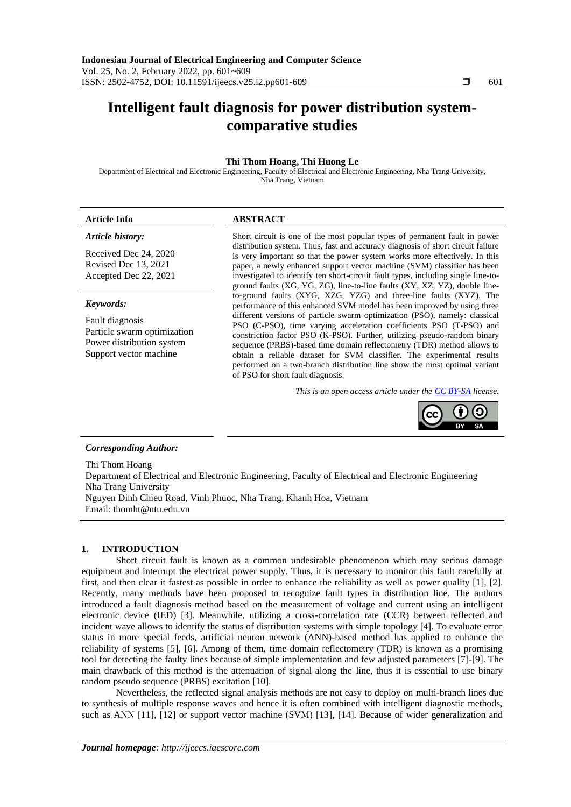# **Intelligent fault diagnosis for power distribution systemcomparative studies**

# **Thi Thom Hoang, Thi Huong Le**

Department of Electrical and Electronic Engineering, Faculty of Electrical and Electronic Engineering, Nha Trang University, Nha Trang, Vietnam

# *Article history:*

Received Dec 24, 2020 Revised Dec 13, 2021 Accepted Dec 22, 2021

### *Keywords:*

Fault diagnosis Particle swarm optimization Power distribution system Support vector machine

# **Article Info ABSTRACT**

Short circuit is one of the most popular types of permanent fault in power distribution system. Thus, fast and accuracy diagnosis of short circuit failure is very important so that the power system works more effectively. In this paper, a newly enhanced support vector machine (SVM) classifier has been investigated to identify ten short-circuit fault types, including single line-toground faults (XG, YG, ZG), line-to-line faults (XY, XZ, YZ), double lineto-ground faults (XYG, XZG, YZG) and three-line faults (XYZ). The performance of this enhanced SVM model has been improved by using three different versions of particle swarm optimization (PSO), namely: classical PSO (C-PSO), time varying acceleration coefficients PSO (T-PSO) and constriction factor PSO (K-PSO). Further, utilizing pseudo-random binary sequence (PRBS)-based time domain reflectometry (TDR) method allows to obtain a reliable dataset for SVM classifier. The experimental results performed on a two-branch distribution line show the most optimal variant of PSO for short fault diagnosis.

*This is an open access article under the [CC BY-SA](https://creativecommons.org/licenses/by-sa/4.0/) license.*



# *Corresponding Author:*

Thi Thom Hoang Department of Electrical and Electronic Engineering, Faculty of Electrical and Electronic Engineering Nha Trang University Nguyen Dinh Chieu Road, Vinh Phuoc, Nha Trang, Khanh Hoa, Vietnam Email: thomht@ntu.edu.vn

# **1. INTRODUCTION**

Short circuit fault is known as a common undesirable phenomenon which may serious damage equipment and interrupt the electrical power supply. Thus, it is necessary to monitor this fault carefully at first, and then clear it fastest as possible in order to enhance the reliability as well as power quality [1], [2]. Recently, many methods have been proposed to recognize fault types in distribution line. The authors introduced a fault diagnosis method based on the measurement of voltage and current using an intelligent electronic device (IED) [3]. Meanwhile, utilizing a cross-correlation rate (CCR) between reflected and incident wave allows to identify the status of distribution systems with simple topology [4]. To evaluate error status in more special feeds, artificial neuron network (ANN)-based method has applied to enhance the reliability of systems [5], [6]. Among of them, time domain reflectometry (TDR) is known as a promising tool for detecting the faulty lines because of simple implementation and few adjusted parameters [7]-[9]. The main drawback of this method is the attenuation of signal along the line, thus it is essential to use binary random pseudo sequence (PRBS) excitation [10].

Nevertheless, the reflected signal analysis methods are not easy to deploy on multi-branch lines due to synthesis of multiple response waves and hence it is often combined with intelligent diagnostic methods, such as ANN [11], [12] or support vector machine (SVM) [13], [14]. Because of wider generalization and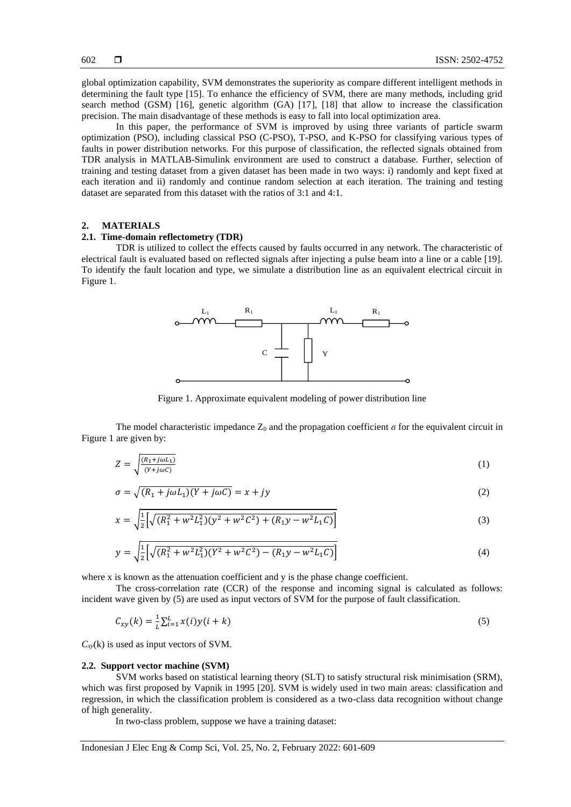global optimization capability, SVM demonstrates the superiority as compare different intelligent methods in determining the fault type [15]. To enhance the efficiency of SVM, there are many methods, including grid search method (GSM) [16], genetic algorithm (GA) [17], [18] that allow to increase the classification precision. The main disadvantage of these methods is easy to fall into local optimization area.

In this paper, the performance of SVM is improved by using three variants of particle swarm optimization (PSO), including classical PSO (C-PSO), T-PSO, and K-PSO for classifying various types of faults in power distribution networks. For this purpose of classification, the reflected signals obtained from TDR analysis in MATLAB-Simulink environment are used to construct a database. Further, selection of training and testing dataset from a given dataset has been made in two ways: i) randomly and kept fixed at each iteration and ii) randomly and continue random selection at each iteration. The training and testing dataset are separated from this dataset with the ratios of 3:1 and 4:1.

# **2. MATERIALS**

# **2.1. Time-domain reflectometry (TDR)**

TDR is utilized to collect the effects caused by faults occurred in any network. The characteristic of electrical fault is evaluated based on reflected signals after injecting a pulse beam into a line or a cable [19]. To identify the fault location and type, we simulate a distribution line as an equivalent electrical circuit in Figure 1.



Figure 1. Approximate equivalent modeling of power distribution line

The model characteristic impedance  $Z_0$  and the propagation coefficient  $\sigma$  for the equivalent circuit in Figure 1 are given by:

$$
Z = \sqrt{\frac{(R_1 + j\omega L_1)}{(Y + j\omega C)}}
$$
 (1)

$$
\sigma = \sqrt{(R_1 + j\omega L_1)(Y + j\omega C)} = x + jy \tag{2}
$$

$$
x = \sqrt{\frac{1}{2} \left[ \sqrt{(R_1^2 + w^2 L_1^2)(y^2 + w^2 C^2) + (R_1 y - w^2 L_1 C)} \right]}
$$
(3)

$$
y = \sqrt{\frac{1}{2} \left[ \sqrt{(R_1^2 + w^2 L_1^2)(Y^2 + w^2 C^2) - (R_1 y - w^2 L_1 C)} \right]}
$$
(4)

where x is known as the attenuation coefficient and y is the phase change coefficient.

The cross-correlation rate (CCR) of the response and incoming signal is calculated as follows: incident wave given by (5) are used as input vectors of SVM for the purpose of fault classification.

$$
C_{xy}(k) = \frac{1}{L} \sum_{i=1}^{L} x(i) y(i+k)
$$
\n(5)

 $C_{xy}$ (k) is used as input vectors of SVM.

#### **2.2. Support vector machine (SVM)**

SVM works based on statistical learning theory (SLT) to satisfy structural risk minimisation (SRM), which was first proposed by Vapnik in 1995 [20]. SVM is widely used in two main areas: classification and regression, in which the classification problem is considered as a two-class data recognition without change of high generality.

In two-class problem, suppose we have a training dataset: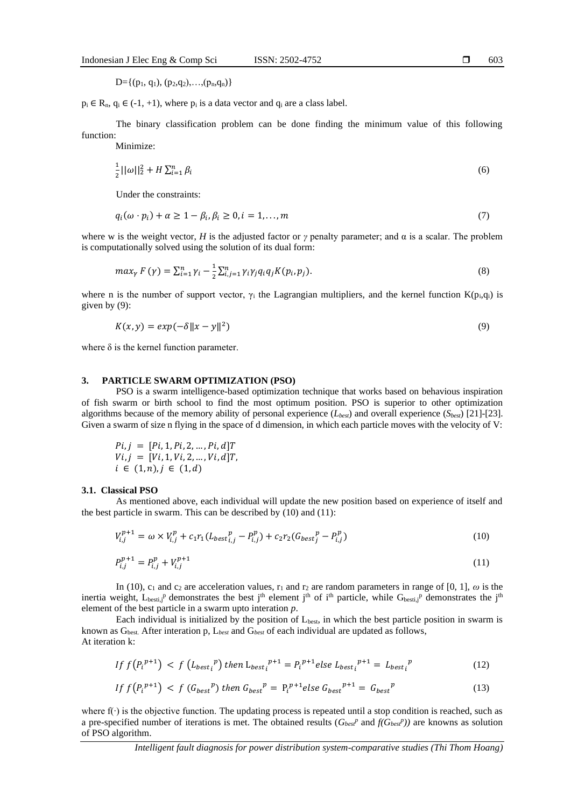$p_i \in R_n$ ,  $q_i \in (-1, +1)$ , where  $p_i$  is a data vector and  $q_i$  are a class label.

The binary classification problem can be done finding the minimum value of this following function:

Minimize:

$$
\frac{1}{2}||\omega||_2^2 + H\sum_{i=1}^n \beta_i
$$
\n(6)

Under the constraints:

$$
q_i(\omega \cdot p_i) + \alpha \ge 1 - \beta_i, \beta_i \ge 0, i = 1, \dots, m
$$
\n<sup>(7)</sup>

where w is the weight vector, *H* is the adjusted factor or *γ* penalty parameter; and  $\alpha$  is a scalar. The problem is computationally solved using the solution of its dual form:

$$
max_{\gamma} F(\gamma) = \sum_{i=1}^{n} \gamma_i - \frac{1}{2} \sum_{i,j=1}^{n} \gamma_i \gamma_j q_i q_j K(p_i, p_j).
$$
\n(8)

where n is the number of support vector,  $\gamma_i$  the Lagrangian multipliers, and the kernel function K(p<sub>i</sub>,q<sub>i</sub>) is given by (9):

$$
K(x, y) = exp(-\delta ||x - y||^2)
$$
\n(9)

where  $\delta$  is the kernel function parameter.

### **3. PARTICLE SWARM OPTIMIZATION (PSO)**

PSO is a swarm intelligence-based optimization technique that works based on behavious inspiration of fish swarm or birth school to find the most optimum position. PSO is superior to other optimization algorithms because of the memory ability of personal experience (*Lbest*) and overall experience (*Sbest*) [21]-[23]. Given a swarm of size n flying in the space of d dimension, in which each particle moves with the velocity of V:

$$
Pi, j = [Pi, 1, Pi, 2, ..., Pi, d]
$$
  
\n $Vi, j = [Vi, 1, Vi, 2, ..., Vi, d]$   
\n $i \in (1, n), j \in (1, d)$ 

#### **3.1. Classical PSO**

As mentioned above, each individual will update the new position based on experience of itself and the best particle in swarm. This can be described by (10) and (11):

$$
V_{i,j}^{p+1} = \omega \times V_{i,j}^p + c_1 r_1 (L_{best_{i,j}}^p - P_{i,j}^p) + c_2 r_2 (G_{best_j}^p - P_{i,j}^p)
$$
\n(10)

$$
P_{i,j}^{p+1} = P_{i,j}^p + V_{i,j}^{p+1}
$$
 (11)

In (10),  $c_1$  and  $c_2$  are acceleration values,  $r_1$  and  $r_2$  are random parameters in range of [0, 1],  $\omega$  is the inertia weight,  $L_{best,j}$ <sup>p</sup> demonstrates the best j<sup>th</sup> element j<sup>th</sup> of i<sup>th</sup> particle, while  $G_{best,j}$ <sup>p</sup> demonstrates the j<sup>th</sup> element of the best particle in a swarm upto interation *p*.

Each individual is initialized by the position of  $L_{best}$ , in which the best particle position in swarm is known as Gbest. After interation p, L*best* and G*best* of each individual are updated as follows, At iteration k:

$$
If f(P_i^{p+1}) < f(L_{best_i}^p) then L_{best_i}^{p+1} = P_i^{p+1} else L_{best_i}^{p+1} = L_{best_i}^p \tag{12}
$$

$$
If f(P_i^{p+1}) < f(G_{best}^p) then G_{best}^p = P_i^{p+1} else G_{best}^{p+1} = G_{best}^p \tag{13}
$$

where f(∙) is the objective function. The updating process is repeated until a stop condition is reached, such as a pre-specified number of iterations is met. The obtained results  $(G_{best}^p \text{ and } f(G_{best}^p))$  are knowns as solution of PSO algorithm.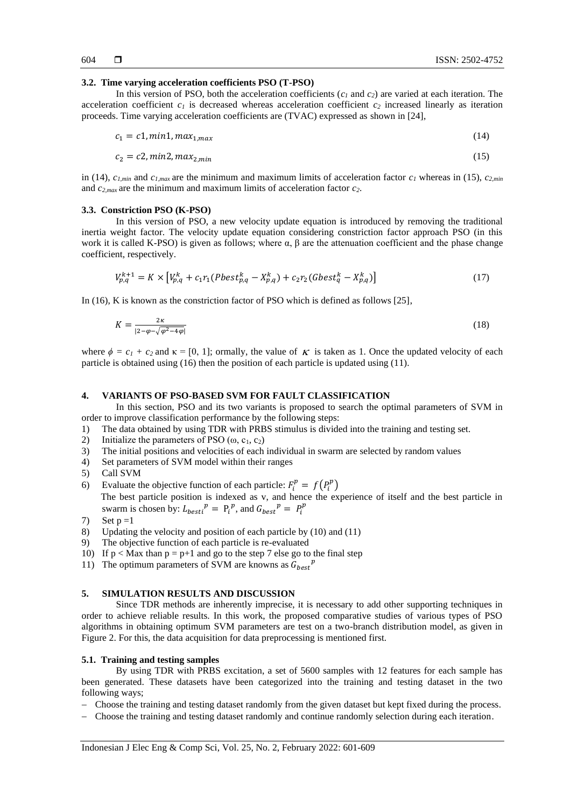#### **3.2. Time varying acceleration coefficients PSO (T-PSO)**

In this version of PSO, both the acceleration coefficients (*c<sup>1</sup>* and *c2*) are varied at each iteration. The acceleration coefficient  $c<sub>l</sub>$  is decreased whereas acceleration coefficient  $c<sub>2</sub>$  increased linearly as iteration proceeds. Time varying acceleration coefficients are (TVAC) expressed as shown in [24],

$$
c_1 = c1, min1, max_{1, max} \tag{14}
$$

$$
c_2 = c2, min2, max_{2,min} \tag{15}
$$

in (14),  $c_{1,min}$  and  $c_{1,max}$  are the minimum and maximum limits of acceleration factor  $c_1$  whereas in (15),  $c_{2,min}$ and  $c_{2,max}$  are the minimum and maximum limits of acceleration factor  $c_2$ .

#### **3.3. Constriction PSO (K-PSO)**

In this version of PSO, a new velocity update equation is introduced by removing the traditional inertia weight factor. The velocity update equation considering constriction factor approach PSO (in this work it is called K-PSO) is given as follows; where  $\alpha$ ,  $\beta$  are the attenuation coefficient and the phase change coefficient, respectively.

$$
V_{p,q}^{k+1} = K \times \left[ V_{p,q}^k + c_1 r_1 (Pbest_{p,q}^k - X_{p,q}^k) + c_2 r_2 (Gbest_q^k - X_{p,q}^k) \right]
$$
\n(17)

In (16), K is known as the constriction factor of PSO which is defined as follows [25],

$$
K = \frac{2\kappa}{|2 - \varphi - \sqrt{\varphi^2 - 4\varphi}|} \tag{18}
$$

where  $\phi = c_1 + c_2$  and  $\kappa = [0, 1]$ ; ormally, the value of  $\kappa$  is taken as 1. Once the updated velocity of each particle is obtained using (16) then the position of each particle is updated using (11).

# **4. VARIANTS OF PSO-BASED SVM FOR FAULT CLASSIFICATION**

In this section, PSO and its two variants is proposed to search the optimal parameters of SVM in order to improve classification performance by the following steps:

- 1) The data obtained by using TDR with PRBS stimulus is divided into the training and testing set.
- 2) Initialize the parameters of PSO  $(\omega, c_1, c_2)$
- 3) The initial positions and velocities of each individual in swarm are selected by random values
- 4) Set parameters of SVM model within their ranges
- 5) Call SVM
- 6) Evaluate the objective function of each particle:  $F_i^p = f(P_i^p)$ The best particle position is indexed as v, and hence the experience of itself and the best particle in swarm is chosen by:  $L_{best}^p = P_t^p$ , and  $G_{best}^p = P_t^p$
- 7) Set  $p = 1$
- 8) Updating the velocity and position of each particle by (10) and (11)
- 9) The objective function of each particle is re-evaluated
- 10) If  $p <$  Max than  $p = p+1$  and go to the step 7 else go to the final step
- 11) The optimum parameters of SVM are knowns as  $G_{best}^p$

# **5. SIMULATION RESULTS AND DISCUSSION**

Since TDR methods are inherently imprecise, it is necessary to add other supporting techniques in order to achieve reliable results. In this work, the proposed comparative studies of various types of PSO algorithms in obtaining optimum SVM parameters are test on a two-branch distribution model, as given in Figure 2. For this, the data acquisition for data preprocessing is mentioned first.

#### **5.1. Training and testing samples**

By using TDR with PRBS excitation, a set of 5600 samples with 12 features for each sample has been generated. These datasets have been categorized into the training and testing dataset in the two following ways;

- Choose the training and testing dataset randomly from the given dataset but kept fixed during the process.
- Choose the training and testing dataset randomly and continue randomly selection during each iteration.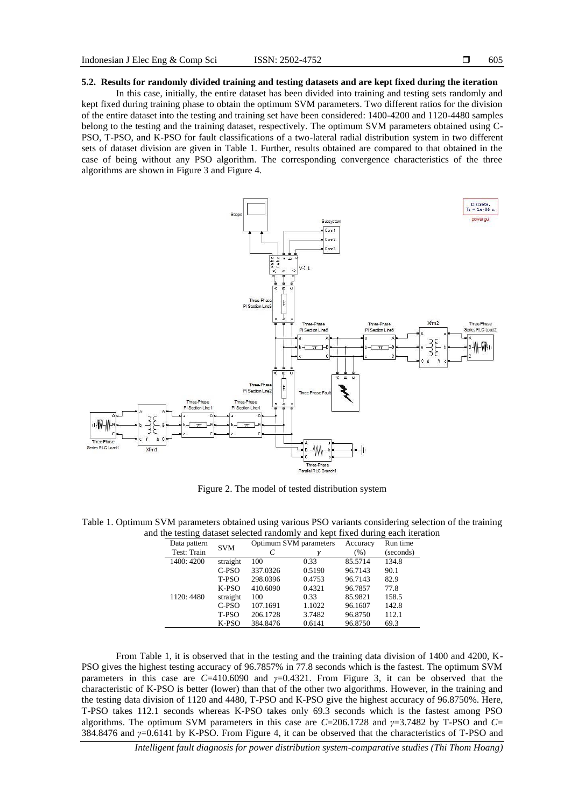# **5.2. Results for randomly divided training and testing datasets and are kept fixed during the iteration**

In this case, initially, the entire dataset has been divided into training and testing sets randomly and kept fixed during training phase to obtain the optimum SVM parameters. Two different ratios for the division of the entire dataset into the testing and training set have been considered: 1400-4200 and 1120-4480 samples belong to the testing and the training dataset, respectively. The optimum SVM parameters obtained using C-PSO, T-PSO, and K-PSO for fault classifications of a two-lateral radial distribution system in two different sets of dataset division are given in Table 1. Further, results obtained are compared to that obtained in the case of being without any PSO algorithm. The corresponding convergence characteristics of the three algorithms are shown in Figure 3 and Figure 4.



Figure 2. The model of tested distribution system

Table 1. Optimum SVM parameters obtained using various PSO variants considering selection of the training and the testing dataset selected randomly and kept fixed during each iteration

| Data pattern | <b>SVM</b> | Optimum SVM parameters |        | Accuracy | Run time  |
|--------------|------------|------------------------|--------|----------|-----------|
| Test: Train  |            |                        |        | (%)      | (seconds) |
| 1400: 4200   | straight   | 100                    | 0.33   | 85.5714  | 134.8     |
|              | C-PSO      | 337.0326               | 0.5190 | 96.7143  | 90.1      |
|              | T-PSO      | 298.0396               | 0.4753 | 96.7143  | 82.9      |
|              | $K-PSO$    | 410.6090               | 0.4321 | 96.7857  | 77.8      |
| 1120: 4480   | straight   | 100                    | 0.33   | 85.9821  | 158.5     |
|              | C-PSO      | 107.1691               | 1.1022 | 96.1607  | 142.8     |
|              | T-PSO      | 206.1728               | 3.7482 | 96.8750  | 112.1     |
|              | $K-PSO$    | 384.8476               | 0.6141 | 96.8750  | 69.3      |

From Table 1, it is observed that in the testing and the training data division of 1400 and 4200, K-PSO gives the highest testing accuracy of 96.7857% in 77.8 seconds which is the fastest. The optimum SVM parameters in this case are *C*=410.6090 and *γ*=0.4321. From Figure 3, it can be observed that the characteristic of K-PSO is better (lower) than that of the other two algorithms. However, in the training and the testing data division of 1120 and 4480, T-PSO and K-PSO give the highest accuracy of 96.8750%. Here, T-PSO takes 112.1 seconds whereas K-PSO takes only 69.3 seconds which is the fastest among PSO algorithms. The optimum SVM parameters in this case are *C*=206.1728 and *γ*=3.7482 by T-PSO and *C*= 384.8476 and *γ*=0.6141 by K-PSO. From Figure 4, it can be observed that the characteristics of T-PSO and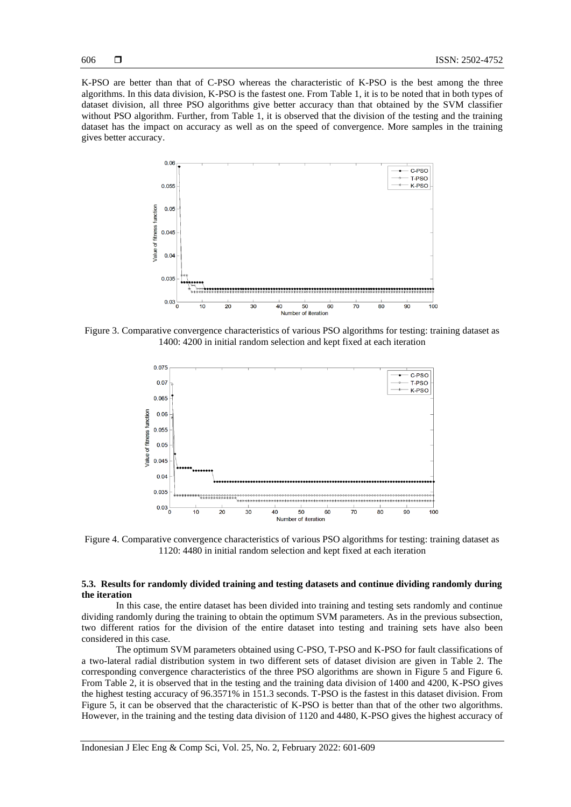K-PSO are better than that of C-PSO whereas the characteristic of K-PSO is the best among the three algorithms. In this data division, K-PSO is the fastest one. From Table 1, it is to be noted that in both types of dataset division, all three PSO algorithms give better accuracy than that obtained by the SVM classifier without PSO algorithm. Further, from Table 1, it is observed that the division of the testing and the training dataset has the impact on accuracy as well as on the speed of convergence. More samples in the training gives better accuracy.



Figure 3. Comparative convergence characteristics of various PSO algorithms for testing: training dataset as 1400: 4200 in initial random selection and kept fixed at each iteration



Figure 4. Comparative convergence characteristics of various PSO algorithms for testing: training dataset as 1120: 4480 in initial random selection and kept fixed at each iteration

# **5.3. Results for randomly divided training and testing datasets and continue dividing randomly during the iteration**

In this case, the entire dataset has been divided into training and testing sets randomly and continue dividing randomly during the training to obtain the optimum SVM parameters. As in the previous subsection, two different ratios for the division of the entire dataset into testing and training sets have also been considered in this case.

The optimum SVM parameters obtained using C-PSO, T-PSO and K-PSO for fault classifications of a two-lateral radial distribution system in two different sets of dataset division are given in Table 2. The corresponding convergence characteristics of the three PSO algorithms are shown in Figure 5 and Figure 6. From Table 2, it is observed that in the testing and the training data division of 1400 and 4200, K-PSO gives the highest testing accuracy of 96.3571% in 151.3 seconds. T-PSO is the fastest in this dataset division. From Figure 5, it can be observed that the characteristic of K-PSO is better than that of the other two algorithms. However, in the training and the testing data division of 1120 and 4480, K-PSO gives the highest accuracy of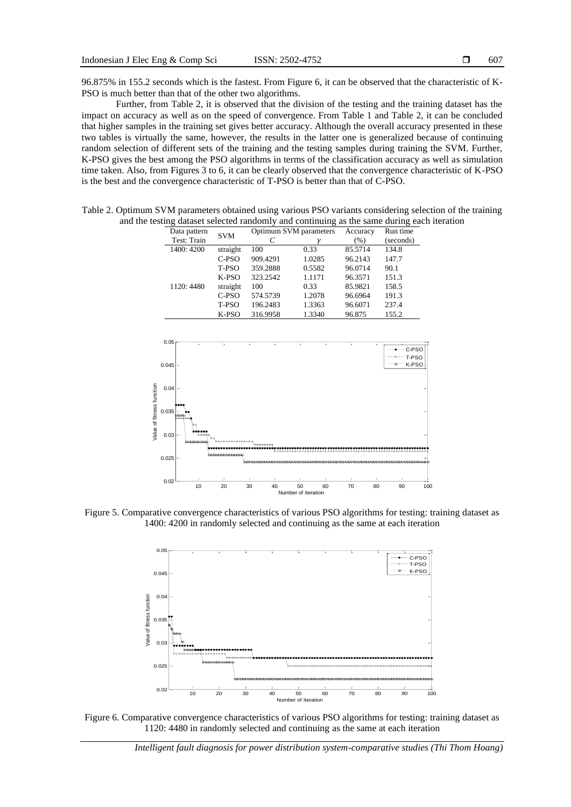96.875% in 155.2 seconds which is the fastest. From Figure 6, it can be observed that the characteristic of K-PSO is much better than that of the other two algorithms.

Further, from Table 2, it is observed that the division of the testing and the training dataset has the impact on accuracy as well as on the speed of convergence. From Table 1 and Table 2, it can be concluded that higher samples in the training set gives better accuracy. Although the overall accuracy presented in these two tables is virtually the same, however, the results in the latter one is generalized because of continuing random selection of different sets of the training and the testing samples during training the SVM. Further, K-PSO gives the best among the PSO algorithms in terms of the classification accuracy as well as simulation time taken. Also, from Figures 3 to 6, it can be clearly observed that the convergence characteristic of K-PSO is the best and the convergence characteristic of T-PSO is better than that of C-PSO.

Table 2. Optimum SVM parameters obtained using various PSO variants considering selection of the training and the testing dataset selected randomly and continuing as the same during each iteration

| Data pattern | <b>SVM</b> | Optimum SVM parameters |        | Accuracy | Run time  |
|--------------|------------|------------------------|--------|----------|-----------|
| Test: Train  |            |                        |        | $(\% )$  | (seconds) |
| 1400: 4200   | straight   | 100                    | 0.33   | 85.5714  | 134.8     |
|              | C-PSO      | 909.4291               | 1.0285 | 96.2143  | 147.7     |
|              | T-PSO      | 359.2888               | 0.5582 | 96.0714  | 90.1      |
|              | $K-PSO$    | 323.2542               | 1.1171 | 96.3571  | 151.3     |
| 1120: 4480   | straight   | 100                    | 0.33   | 85.9821  | 158.5     |
|              | C-PSO      | 574.5739               | 1.2078 | 96.6964  | 191.3     |
|              | T-PSO      | 196.2483               | 1.3363 | 96.6071  | 237.4     |
|              | K-PSO      | 316.9958               | 1.3340 | 96.875   | 155.2     |



Figure 5. Comparative convergence characteristics of various PSO algorithms for testing: training dataset as 1400: 4200 in randomly selected and continuing as the same at each iteration



Figure 6. Comparative convergence characteristics of various PSO algorithms for testing: training dataset as 1120: 4480 in randomly selected and continuing as the same at each iteration

*Intelligent fault diagnosis for power distribution system-comparative studies (Thi Thom Hoang)*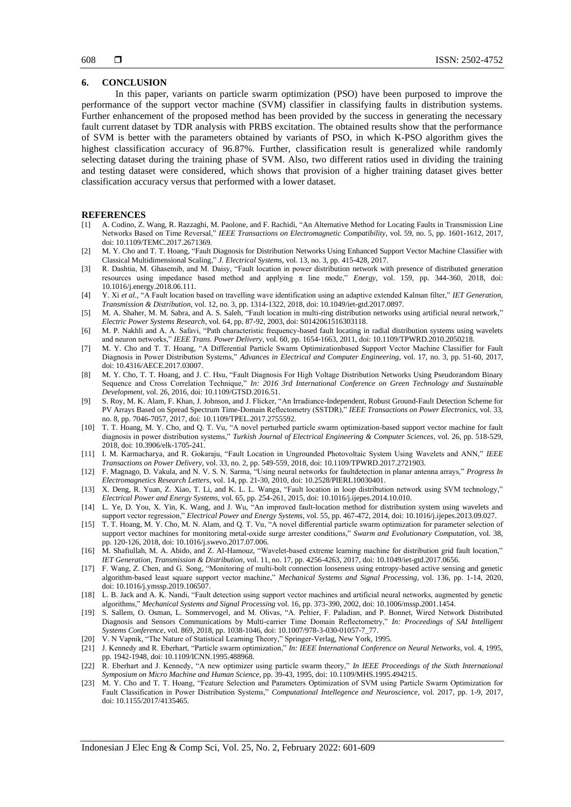# **6. CONCLUSION**

In this paper, variants on particle swarm optimization (PSO) have been purposed to improve the performance of the support vector machine (SVM) classifier in classifying faults in distribution systems. Further enhancement of the proposed method has been provided by the success in generating the necessary fault current dataset by TDR analysis with PRBS excitation. The obtained results show that the performance of SVM is better with the parameters obtained by variants of PSO, in which K-PSO algorithm gives the highest classification accuracy of 96.87%. Further, classification result is generalized while randomly selecting dataset during the training phase of SVM. Also, two different ratios used in dividing the training and testing dataset were considered, which shows that provision of a higher training dataset gives better classification accuracy versus that performed with a lower dataset.

### **REFERENCES**

- [1] A. Codino, Z. Wang, R. Razzaghi, M. Paolone, and F. Rachidi, "An Alternative Method for Locating Faults in Transmission Line Networks Based on Time Reversal," *IEEE Transactions on Electromagnetic Compatibility*, vol. 59, no. 5, pp. 1601-1612, 2017, doi: 10.1109/TEMC.2017.2671369.
- [2] M. Y. Cho and T. T. Hoang, "Fault Diagnosis for Distribution Networks Using Enhanced Support Vector Machine Classifier with Classical Multidimensional Scaling," *J. Electrical Systems*, vol. 13, no. 3, pp. 415-428, 2017.
- [3] R. Dashtia, M. Ghasemib, and M. Daisy, "Fault location in power distribution network with presence of distributed generation resources using impedance based method and applying π line mode," *Energy*, vol. 159, pp. 344-360, 2018, doi: 10.1016/j.energy.2018.06.111.
- [4] Y. Xi *et al.,* "A Fault location based on travelling wave identification using an adaptive extended Kalman filter," *IET Generation, Transmission & Distribution,* vol. 12, no. 3, pp. 1314-1322, 2018, doi: 10.1049/iet-gtd.2017.0897.
- [5] M. A. Shaher, M. M. Sabra, and A. S. Saleh, "Fault location in multi-ring distribution networks using artificial neural network," *Electric Power Systems Research*, vol. 64, pp. 87-92, 2003, doi: S0142061516303118.
- [6] M. P. Nakhli and A. A. Safavi, "Path characteristic frequency-based fault locating in radial distribution systems using wavelets and neuron networks," *IEEE Trans. Power Delivery*, vol. 60, pp. 1654-1663, 2011, doi: 10.1109/TPWRD.2010.2050218.
- [7] M. Y. Cho and T. T. Hoang, "A Differential Particle Swarm Optimizationbased Support Vector Machine Classifier for Fault Diagnosis in Power Distribution Systems," *Advances in Electrical and Computer Engineering*, vol. 17, no. 3, pp. 51-60, 2017, doi: 10.4316/AECE.2017.03007.
- [8] M. Y. Cho, T. T. Hoang, and J. C. Hsu, "Fault Diagnosis For High Voltage Distribution Networks Using Pseudorandom Binary Sequence and Cross Correlation Technique," *In: 2016 3rd International Conference on Green Technology and Sustainable Development*, vol. 26, 2016, doi: 10.1109/GTSD.2016.51.
- [9] S. Roy, M. K. Alam, F. Khan, J. Johnson, and J. Flicker, "An Irradiance-Independent, Robust Ground-Fault Detection Scheme for PV Arrays Based on Spread Spectrum Time-Domain Reflectometry (SSTDR)," *IEEE Transactions on Power Electronics,* vol. 33, no. 8, pp. 7046-7057, 2017, doi: 10.1109/TPEL.2017.2755592.
- [10] T. T. Hoang, M. Y. Cho, and Q. T. Vu, "A novel perturbed particle swarm optimization-based support vector machine for fault diagnosis in power distribution systems," *Turkish Journal of Electrical Engineering & Computer Sciences*, vol. 26, pp. 518-529, 2018, doi: 10.3906/elk-1705-241.
- [11] I. M. Karmacharya, and R. Gokaraju, "Fault Location in Ungrounded Photovoltaic System Using Wavelets and ANN," *IEEE Transactions on Power Delivery,* vol. 33, no. 2, pp. 549-559, 2018, doi: 10.1109/TPWRD.2017.2721903.
- [12] F. Magnago, D. Vakula, and N. V. S. N. Sarma, "Using neural networks for faultdetection in planar antenna arrays," *Progress In Electromagnetics Research Letters*, vol. 14, pp. 21-30, 2010, doi: 10.2528/PIERL10030401.
- [13] X. Deng, R. Yuan, Z. Xiao, T. Li, and K. L. L. Wanga, "Fault location in loop distribution network using SVM technology," *Electrical Power and Energy Systems*, vol. 65, pp. 254-261, 2015, doi: 10.1016/j.ijepes.2014.10.010.
- [14] L. Ye, D. You, X. Yin, K. Wang, and J. Wu, "An improved fault-location method for distribution system using wavelets and support vector regression," *Electrical Power and Energy Systems*, vol. 55, pp. 467-472, 2014, doi: 10.1016/j.ijepes.2013.09.027.
- [15] T. T. Hoang, M. Y. Cho, M. N. Alam, and Q. T. Vu, "A novel differential particle swarm optimization for parameter selection of support vector machines for monitoring metal-oxide surge arrester conditions," *Swarm and Evolutionary Computation*, vol. 38, pp. 120-126, 2018, doi: 10.1016/j.swevo.2017.07.006.
- [16] M. Shafiullah, M. A. Abido, and Z. Al-Hamouz, "Wavelet-based extreme learning machine for distribution grid fault location," *IET Generation, Transmission & Distribution,* vol. 11, no. 17, pp. 4256-4263, 2017, doi: 10.1049/iet-gtd.2017.0656.
- [17] F. Wang, Z. Chen, and G. Song, "Monitoring of multi-bolt connection looseness using entropy-based active sensing and genetic algorithm-based least square support vector machine," *Mechanical Systems and Signal Processing*, vol. 136, pp. 1-14, 2020, doi: 10.1016/j.ymssp.2019.106507.
- [18] L. B. Jack and A. K. Nandi, "Fault detection using support vector machines and artificial neural networks, augmented by genetic algorithms," *Mechanical Systems and Signal Processing* vol. 16, pp. 373-390, 2002, doi: 10.1006/mssp.2001.1454.
- [19] S. Sallem, O. Osman, L. Sommervogel, and M. Olivas, "A. Peltier, F. Paladian, and P. Bonnet, Wired Network Distributed Diagnosis and Sensors Communications by Multi-carrier Time Domain Reflectometry," *In: Proceedings of SAI Intelligent Systems Conference*, vol. 869, 2018, pp. 1038-1046, doi: 10.1007/978-3-030-01057-7\_77.
- [20] V. N Vapnik, "The Nature of Statistical Learning Theory," Springer-Verlag, New York, 1995.
- [21] J. Kennedy and R. Eberhart, "Particle swarm optimization," *In: IEEE International Conference on Neural Networks*, vol. 4, 1995, pp. 1942-1948, doi: 10.1109/ICNN.1995.488968.
- [22] R. Eberhart and J. Kennedy, "A new optimizer using particle swarm theory," *In IEEE Proceedings of the Sixth International Symposium on Micro Machine and Human Science*, pp. 39-43, 1995, doi: 10.1109/MHS.1995.494215.
- [23] M. Y. Cho and T. T. Hoang, "Feature Selection and Parameters Optimization of SVM using Particle Swarm Optimization for Fault Classification in Power Distribution Systems," *Computational Intellegence and Neuroscience*, vol. 2017, pp. 1-9, 2017, doi: 10.1155/2017/4135465.